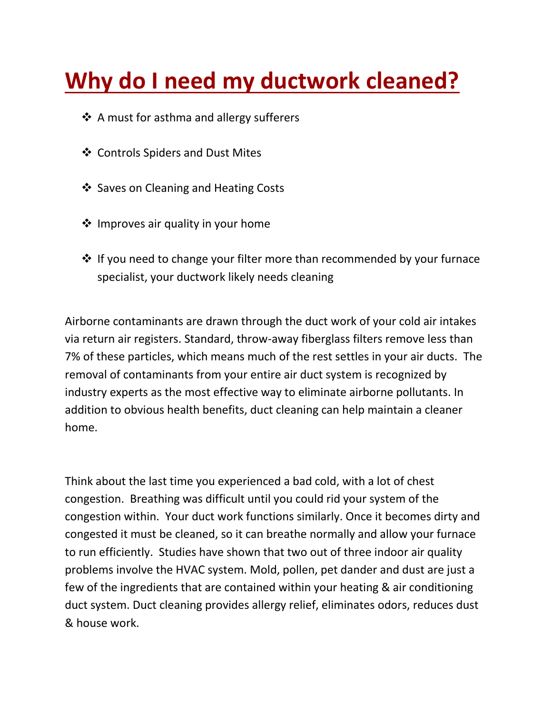## **Why do I need my ductwork cleaned?**

- ❖ A must for asthma and allergy sufferers
- Controls Spiders and Dust Mites
- ❖ Saves on Cleaning and Heating Costs
- $\triangleq$  Improves air quality in your home
- $\cdot$  If you need to change your filter more than recommended by your furnace specialist, your ductwork likely needs cleaning

Airborne contaminants are drawn through the duct work of your cold air intakes via return air registers. Standard, throw-away fiberglass filters remove less than 7% of these particles, which means much of the rest settles in your air ducts. The removal of contaminants from your entire air duct system is recognized by industry experts as the most effective way to eliminate airborne pollutants. In addition to obvious health benefits, duct cleaning can help maintain a cleaner home.

Think about the last time you experienced a bad cold, with a lot of chest congestion. Breathing was difficult until you could rid your system of the congestion within. Your duct work functions similarly. Once it becomes dirty and congested it must be cleaned, so it can breathe normally and allow your furnace to run efficiently. Studies have shown that two out of three indoor air quality problems involve the HVAC system. Mold, pollen, pet dander and dust are just a few of the ingredients that are contained within your heating & air conditioning duct system. Duct cleaning provides allergy relief, eliminates odors, reduces dust & house work.